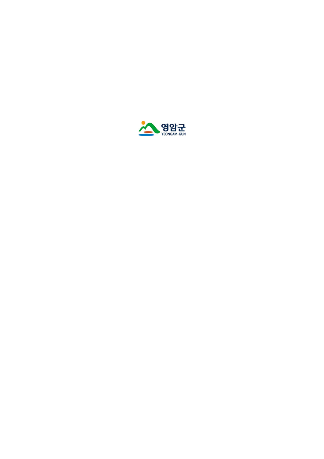